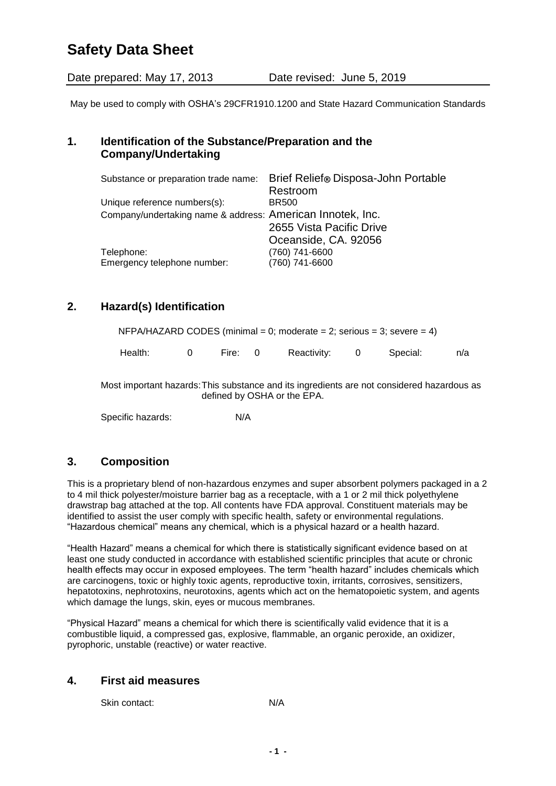# **Safety Data Sheet**

Date prepared: May 17, 2013 Date revised: June 5, 2019

May be used to comply with OSHA's 29CFR1910.1200 and State Hazard Communication Standards

## **1. Identification of the Substance/Preparation and the Company/Undertaking**

| Substance or preparation trade name:                       | Brief Relief® Disposa-John Portable |
|------------------------------------------------------------|-------------------------------------|
|                                                            | Restroom                            |
| Unique reference numbers(s):                               | <b>BR500</b>                        |
| Company/undertaking name & address: American Innotek, Inc. |                                     |
|                                                            | 2655 Vista Pacific Drive            |
|                                                            | Oceanside, CA. 92056                |
| Telephone:                                                 | (760) 741-6600                      |
| Emergency telephone number:                                | (760) 741-6600                      |

# **2. Hazard(s) Identification**

| NFPA/HAZARD CODES (minimal = 0; moderate = 2; serious = 3; severe = 4) |          |         |  |               |  |          |     |
|------------------------------------------------------------------------|----------|---------|--|---------------|--|----------|-----|
| Health:                                                                | $\Omega$ | Fire: 0 |  | Reactivity: 0 |  | Special: | n/a |

Most important hazards:This substance and its ingredients are not considered hazardous as defined by OSHA or the EPA.

Specific hazards: N/A

### **3. Composition**

This is a proprietary blend of non-hazardous enzymes and super absorbent polymers packaged in a 2 to 4 mil thick polyester/moisture barrier bag as a receptacle, with a 1 or 2 mil thick polyethylene drawstrap bag attached at the top. All contents have FDA approval. Constituent materials may be identified to assist the user comply with specific health, safety or environmental regulations. "Hazardous chemical" means any chemical, which is a physical hazard or a health hazard.

"Health Hazard" means a chemical for which there is statistically significant evidence based on at least one study conducted in accordance with established scientific principles that acute or chronic health effects may occur in exposed employees. The term "health hazard" includes chemicals which are carcinogens, toxic or highly toxic agents, reproductive toxin, irritants, corrosives, sensitizers, hepatotoxins, nephrotoxins, neurotoxins, agents which act on the hematopoietic system, and agents which damage the lungs, skin, eyes or mucous membranes.

"Physical Hazard" means a chemical for which there is scientifically valid evidence that it is a combustible liquid, a compressed gas, explosive, flammable, an organic peroxide, an oxidizer, pyrophoric, unstable (reactive) or water reactive.

#### **4. First aid measures**

Skin contact: N/A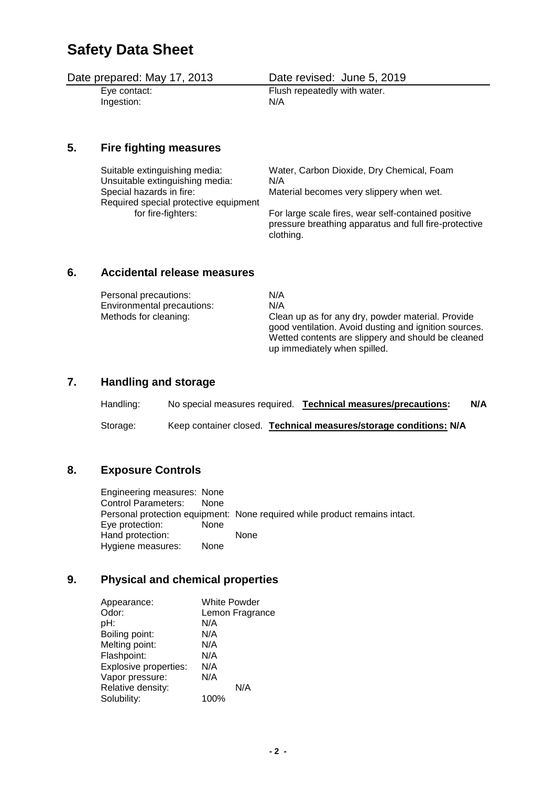# **Safety Data Sheet**

Date prepared: May 17, 2013 Date revised: June 5, 2019 Eye contact: Flush repeatedly with water. Ingestion: N/A

**5. Fire fighting measures**

| Suitable extinguishing media:         | Water, Carbon Dioxide, Dry Chemical, Foam                                                                                 |
|---------------------------------------|---------------------------------------------------------------------------------------------------------------------------|
| Unsuitable extinguishing media:       | N/A                                                                                                                       |
| Special hazards in fire:              | Material becomes very slippery when wet.                                                                                  |
| Required special protective equipment |                                                                                                                           |
| for fire-fighters:                    | For large scale fires, wear self-contained positive<br>pressure breathing apparatus and full fire-protective<br>clothing. |

#### **6. Accidental release measures**

| Personal precautions:      | N/A                                                                                                                                                                                              |
|----------------------------|--------------------------------------------------------------------------------------------------------------------------------------------------------------------------------------------------|
| Environmental precautions: | N/A                                                                                                                                                                                              |
| Methods for cleaning:      | Clean up as for any dry, powder material. Provide<br>good ventilation. Avoid dusting and ignition sources.<br>Wetted contents are slippery and should be cleaned<br>up immediately when spilled. |

### **7. Handling and storage**

| Handling: | No special measures required. | <b>Technical measures/precautions:</b>                            | N/A |
|-----------|-------------------------------|-------------------------------------------------------------------|-----|
| Storage:  |                               | Keep container closed. Technical measures/storage conditions: N/A |     |

#### **8. Exposure Controls**

Engineering measures: None Control Parameters: None Personal protection equipment: None required while product remains intact. Eye protection: None Hand protection: None<br>Hygiene measures: None Hygiene measures:

#### **9. Physical and chemical properties**

| Appearance:           | <b>White Powder</b> |
|-----------------------|---------------------|
| Odor:                 | Lemon Fragrance     |
| pH:                   | N/A                 |
| Boiling point:        | N/A                 |
| Melting point:        | N/A                 |
| Flashpoint:           | N/A                 |
| Explosive properties: | N/A                 |
| Vapor pressure:       | N/A                 |
| Relative density:     | N/A                 |
| Solubility:           | 100%                |
|                       |                     |